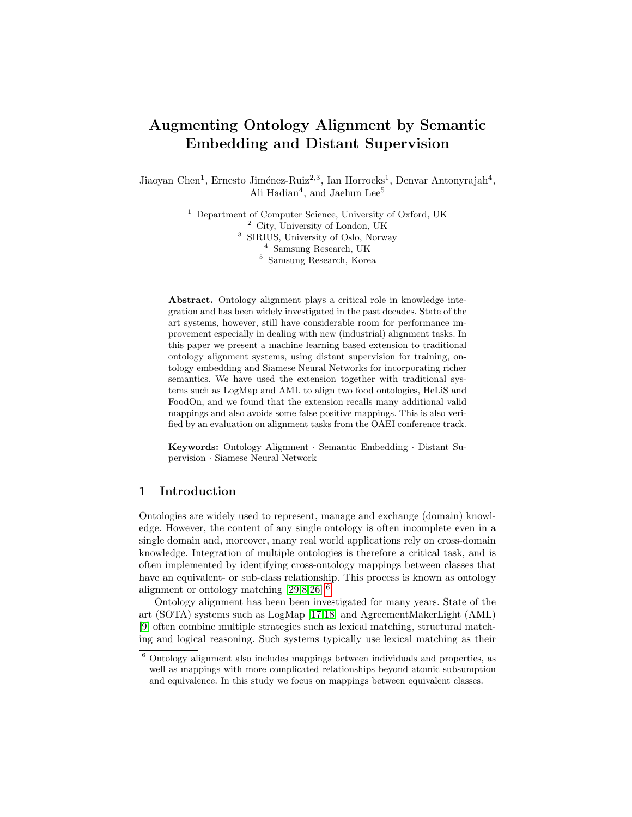# Augmenting Ontology Alignment by Semantic Embedding and Distant Supervision

Jiaoyan Chen<sup>1</sup>, Ernesto Jiménez-Ruiz<sup>2,3</sup>, Ian Horrocks<sup>1</sup>, Denvar Antonyrajah<sup>4</sup>, Ali Hadian<sup>4</sup>, and Jaehun Lee<sup>5</sup>

> Department of Computer Science, University of Oxford, UK City, University of London, UK SIRIUS, University of Oslo, Norway Samsung Research, UK Samsung Research, Korea

Abstract. Ontology alignment plays a critical role in knowledge integration and has been widely investigated in the past decades. State of the art systems, however, still have considerable room for performance improvement especially in dealing with new (industrial) alignment tasks. In this paper we present a machine learning based extension to traditional ontology alignment systems, using distant supervision for training, ontology embedding and Siamese Neural Networks for incorporating richer semantics. We have used the extension together with traditional systems such as LogMap and AML to align two food ontologies, HeLiS and FoodOn, and we found that the extension recalls many additional valid mappings and also avoids some false positive mappings. This is also verified by an evaluation on alignment tasks from the OAEI conference track.

Keywords: Ontology Alignment · Semantic Embedding · Distant Supervision · Siamese Neural Network

# 1 Introduction

Ontologies are widely used to represent, manage and exchange (domain) knowledge. However, the content of any single ontology is often incomplete even in a single domain and, moreover, many real world applications rely on cross-domain knowledge. Integration of multiple ontologies is therefore a critical task, and is often implemented by identifying cross-ontology mappings between classes that have an equivalent- or sub-class relationship. This process is known as ontology alignment or ontology matching [\[29,](#page-15-0)[8,](#page-14-0)[26\]](#page-15-1).[6](#page-0-0)

Ontology alignment has been been investigated for many years. State of the art (SOTA) systems such as LogMap [\[17](#page-15-2)[,18\]](#page-15-3) and AgreementMakerLight (AML) [\[9\]](#page-14-1) often combine multiple strategies such as lexical matching, structural matching and logical reasoning. Such systems typically use lexical matching as their

<span id="page-0-0"></span><sup>6</sup> Ontology alignment also includes mappings between individuals and properties, as well as mappings with more complicated relationships beyond atomic subsumption and equivalence. In this study we focus on mappings between equivalent classes.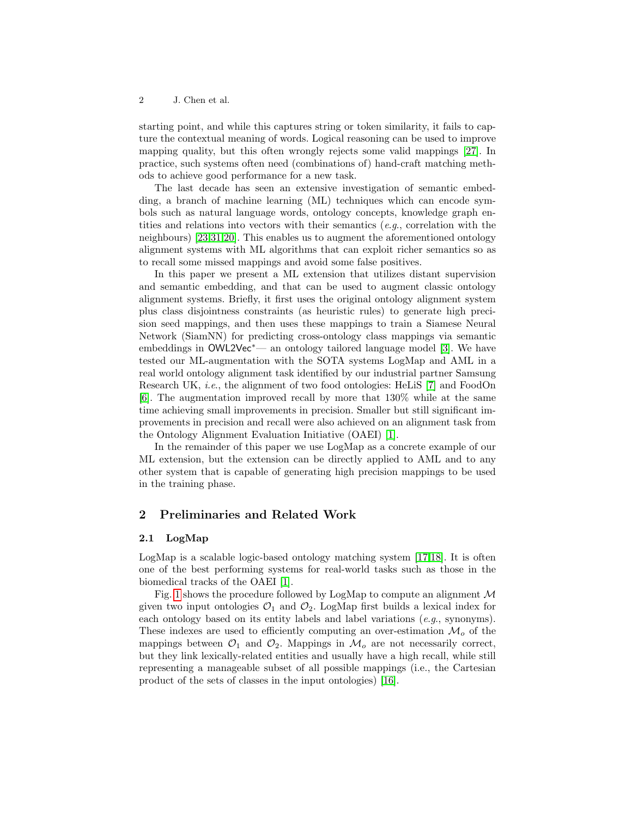starting point, and while this captures string or token similarity, it fails to capture the contextual meaning of words. Logical reasoning can be used to improve mapping quality, but this often wrongly rejects some valid mappings [\[27\]](#page-15-4). In practice, such systems often need (combinations of) hand-craft matching methods to achieve good performance for a new task.

The last decade has seen an extensive investigation of semantic embedding, a branch of machine learning (ML) techniques which can encode symbols such as natural language words, ontology concepts, knowledge graph entities and relations into vectors with their semantics  $(e.g.,$  correlation with the neighbours) [\[23](#page-15-5)[,31](#page-15-6)[,20\]](#page-15-7). This enables us to augment the aforementioned ontology alignment systems with ML algorithms that can exploit richer semantics so as to recall some missed mappings and avoid some false positives.

In this paper we present a ML extension that utilizes distant supervision and semantic embedding, and that can be used to augment classic ontology alignment systems. Briefly, it first uses the original ontology alignment system plus class disjointness constraints (as heuristic rules) to generate high precision seed mappings, and then uses these mappings to train a Siamese Neural Network (SiamNN) for predicting cross-ontology class mappings via semantic embeddings in OWL2Vec<sup>∗</sup>— an ontology tailored language model [\[3\]](#page-14-2). We have tested our ML-augmentation with the SOTA systems LogMap and AML in a real world ontology alignment task identified by our industrial partner Samsung Research UK, i.e., the alignment of two food ontologies: HeLiS [\[7\]](#page-14-3) and FoodOn [\[6\]](#page-14-4). The augmentation improved recall by more that 130% while at the same time achieving small improvements in precision. Smaller but still significant improvements in precision and recall were also achieved on an alignment task from the Ontology Alignment Evaluation Initiative (OAEI) [\[1\]](#page-14-5).

In the remainder of this paper we use LogMap as a concrete example of our ML extension, but the extension can be directly applied to AML and to any other system that is capable of generating high precision mappings to be used in the training phase.

### 2 Preliminaries and Related Work

#### 2.1 LogMap

LogMap is a scalable logic-based ontology matching system [\[17,](#page-15-2)[18\]](#page-15-3). It is often one of the best performing systems for real-world tasks such as those in the biomedical tracks of the OAEI [\[1\]](#page-14-5).

Fig. [1](#page-2-0) shows the procedure followed by LogMap to compute an alignment  $\mathcal M$ given two input ontologies  $\mathcal{O}_1$  and  $\mathcal{O}_2$ . LogMap first builds a lexical index for each ontology based on its entity labels and label variations (e.g., synonyms). These indexes are used to efficiently computing an over-estimation  $\mathcal{M}_o$  of the mappings between  $\mathcal{O}_1$  and  $\mathcal{O}_2$ . Mappings in  $\mathcal{M}_o$  are not necessarily correct, but they link lexically-related entities and usually have a high recall, while still representing a manageable subset of all possible mappings (i.e., the Cartesian product of the sets of classes in the input ontologies) [\[16\]](#page-15-8).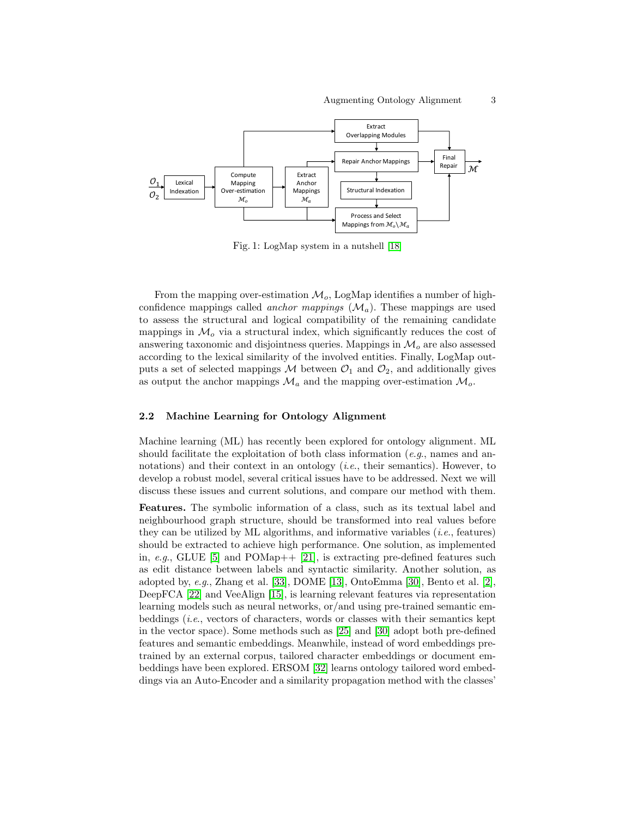<span id="page-2-0"></span>

Fig. 1: LogMap system in a nutshell [\[18\]](#page-15-3)

From the mapping over-estimation  $\mathcal{M}_o$ , LogMap identifies a number of highconfidence mappings called *anchor mappings*  $(\mathcal{M}_a)$ . These mappings are used to assess the structural and logical compatibility of the remaining candidate mappings in  $\mathcal{M}_o$  via a structural index, which significantly reduces the cost of answering taxonomic and disjointness queries. Mappings in  $\mathcal{M}_o$  are also assessed according to the lexical similarity of the involved entities. Finally, LogMap outputs a set of selected mappings M between  $\mathcal{O}_1$  and  $\mathcal{O}_2$ , and additionally gives as output the anchor mappings  $\mathcal{M}_a$  and the mapping over-estimation  $\mathcal{M}_o$ .

### 2.2 Machine Learning for Ontology Alignment

Machine learning (ML) has recently been explored for ontology alignment. ML should facilitate the exploitation of both class information (*e.g.*, names and annotations) and their context in an ontology  $(i.e.,$  their semantics). However, to develop a robust model, several critical issues have to be addressed. Next we will discuss these issues and current solutions, and compare our method with them.

Features. The symbolic information of a class, such as its textual label and neighbourhood graph structure, should be transformed into real values before they can be utilized by ML algorithms, and informative variables  $(i.e.,$  features) should be extracted to achieve high performance. One solution, as implemented in, e.g., GLUE [\[5\]](#page-14-6) and POMap++ [\[21\]](#page-15-9), is extracting pre-defined features such as edit distance between labels and syntactic similarity. Another solution, as adopted by, e.g., Zhang et al. [\[33\]](#page-15-10), DOME [\[13\]](#page-15-11), OntoEmma [\[30\]](#page-15-12), Bento et al. [\[2\]](#page-14-7), DeepFCA [\[22\]](#page-15-13) and VeeAlign [\[15\]](#page-15-14), is learning relevant features via representation learning models such as neural networks, or/and using pre-trained semantic embeddings (i.e., vectors of characters, words or classes with their semantics kept in the vector space). Some methods such as [\[25\]](#page-15-15) and [\[30\]](#page-15-12) adopt both pre-defined features and semantic embeddings. Meanwhile, instead of word embeddings pretrained by an external corpus, tailored character embeddings or document embeddings have been explored. ERSOM [\[32\]](#page-15-16) learns ontology tailored word embeddings via an Auto-Encoder and a similarity propagation method with the classes'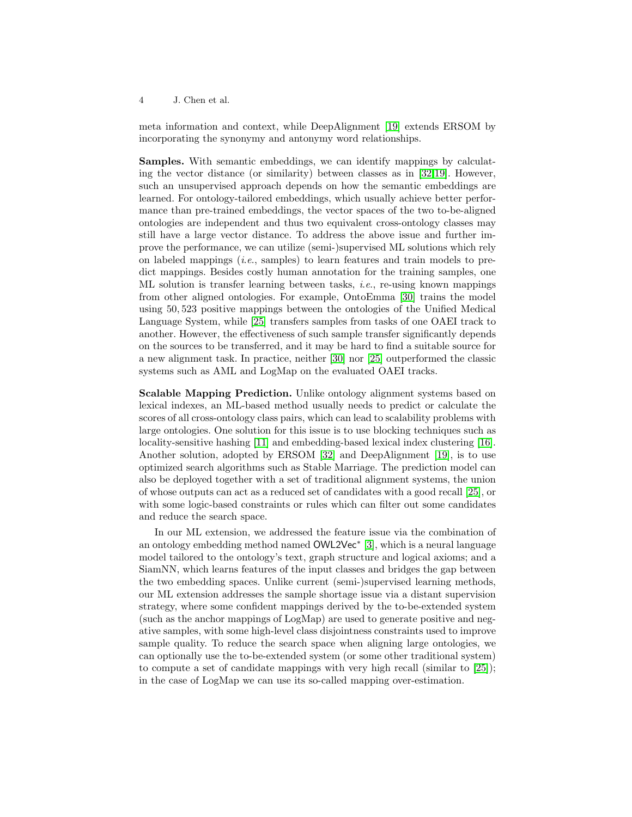meta information and context, while DeepAlignment [\[19\]](#page-15-17) extends ERSOM by incorporating the synonymy and antonymy word relationships.

Samples. With semantic embeddings, we can identify mappings by calculating the vector distance (or similarity) between classes as in [\[32,](#page-15-16)[19\]](#page-15-17). However, such an unsupervised approach depends on how the semantic embeddings are learned. For ontology-tailored embeddings, which usually achieve better performance than pre-trained embeddings, the vector spaces of the two to-be-aligned ontologies are independent and thus two equivalent cross-ontology classes may still have a large vector distance. To address the above issue and further improve the performance, we can utilize (semi-)supervised ML solutions which rely on labeled mappings (i.e., samples) to learn features and train models to predict mappings. Besides costly human annotation for the training samples, one ML solution is transfer learning between tasks, i.e., re-using known mappings from other aligned ontologies. For example, OntoEmma [\[30\]](#page-15-12) trains the model using 50, 523 positive mappings between the ontologies of the Unified Medical Language System, while [\[25\]](#page-15-15) transfers samples from tasks of one OAEI track to another. However, the effectiveness of such sample transfer significantly depends on the sources to be transferred, and it may be hard to find a suitable source for a new alignment task. In practice, neither [\[30\]](#page-15-12) nor [\[25\]](#page-15-15) outperformed the classic systems such as AML and LogMap on the evaluated OAEI tracks.

Scalable Mapping Prediction. Unlike ontology alignment systems based on lexical indexes, an ML-based method usually needs to predict or calculate the scores of all cross-ontology class pairs, which can lead to scalability problems with large ontologies. One solution for this issue is to use blocking techniques such as locality-sensitive hashing [\[11\]](#page-15-18) and embedding-based lexical index clustering [\[16\]](#page-15-8). Another solution, adopted by ERSOM [\[32\]](#page-15-16) and DeepAlignment [\[19\]](#page-15-17), is to use optimized search algorithms such as Stable Marriage. The prediction model can also be deployed together with a set of traditional alignment systems, the union of whose outputs can act as a reduced set of candidates with a good recall [\[25\]](#page-15-15), or with some logic-based constraints or rules which can filter out some candidates and reduce the search space.

In our ML extension, we addressed the feature issue via the combination of an ontology embedding method named OWL2Vec<sup>∗</sup> [\[3\]](#page-14-2), which is a neural language model tailored to the ontology's text, graph structure and logical axioms; and a SiamNN, which learns features of the input classes and bridges the gap between the two embedding spaces. Unlike current (semi-)supervised learning methods, our ML extension addresses the sample shortage issue via a distant supervision strategy, where some confident mappings derived by the to-be-extended system (such as the anchor mappings of LogMap) are used to generate positive and negative samples, with some high-level class disjointness constraints used to improve sample quality. To reduce the search space when aligning large ontologies, we can optionally use the to-be-extended system (or some other traditional system) to compute a set of candidate mappings with very high recall (similar to [\[25\]](#page-15-15)); in the case of LogMap we can use its so-called mapping over-estimation.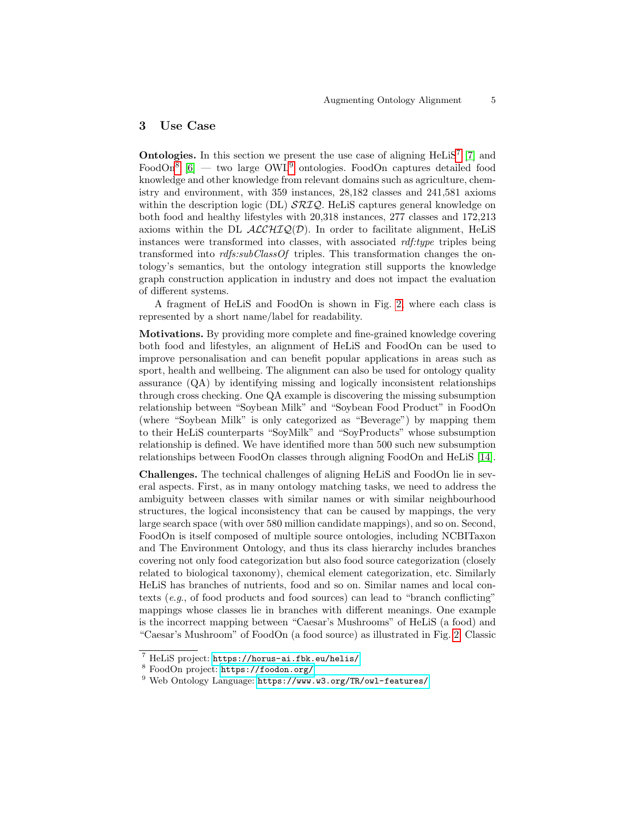# 3 Use Case

**Ontologies.** In this section we present the use case of aligning  $\text{HeLiS}^7$  $\text{HeLiS}^7$  [\[7\]](#page-14-3) and FoodOn<sup>[8](#page-4-1)</sup> [\[6\]](#page-14-4) — two large OWL<sup>[9](#page-4-2)</sup> ontologies. FoodOn captures detailed food knowledge and other knowledge from relevant domains such as agriculture, chemistry and environment, with 359 instances, 28,182 classes and 241,581 axioms within the description logic (DL)  $\mathcal{SRIQ}$ . HeLiS captures general knowledge on both food and healthy lifestyles with 20,318 instances, 277 classes and 172,213 axioms within the DL  $\text{ALCHIQ}(\mathcal{D})$ . In order to facilitate alignment, HeLiS instances were transformed into classes, with associated rdf:type triples being transformed into  $rdfs:subClassOf$  triples. This transformation changes the ontology's semantics, but the ontology integration still supports the knowledge graph construction application in industry and does not impact the evaluation of different systems.

A fragment of HeLiS and FoodOn is shown in Fig. [2,](#page-5-0) where each class is represented by a short name/label for readability.

Motivations. By providing more complete and fine-grained knowledge covering both food and lifestyles, an alignment of HeLiS and FoodOn can be used to improve personalisation and can benefit popular applications in areas such as sport, health and wellbeing. The alignment can also be used for ontology quality assurance (QA) by identifying missing and logically inconsistent relationships through cross checking. One QA example is discovering the missing subsumption relationship between "Soybean Milk" and "Soybean Food Product" in FoodOn (where "Soybean Milk" is only categorized as "Beverage") by mapping them to their HeLiS counterparts "SoyMilk" and "SoyProducts" whose subsumption relationship is defined. We have identified more than 500 such new subsumption relationships between FoodOn classes through aligning FoodOn and HeLiS [\[14\]](#page-15-19).

Challenges. The technical challenges of aligning HeLiS and FoodOn lie in several aspects. First, as in many ontology matching tasks, we need to address the ambiguity between classes with similar names or with similar neighbourhood structures, the logical inconsistency that can be caused by mappings, the very large search space (with over 580 million candidate mappings), and so on. Second, FoodOn is itself composed of multiple source ontologies, including NCBITaxon and The Environment Ontology, and thus its class hierarchy includes branches covering not only food categorization but also food source categorization (closely related to biological taxonomy), chemical element categorization, etc. Similarly HeLiS has branches of nutrients, food and so on. Similar names and local contexts (e.g., of food products and food sources) can lead to "branch conflicting" mappings whose classes lie in branches with different meanings. One example is the incorrect mapping between "Caesar's Mushrooms" of HeLiS (a food) and "Caesar's Mushroom" of FoodOn (a food source) as illustrated in Fig. [2.](#page-5-0) Classic

<span id="page-4-0"></span><sup>7</sup> HeLiS project: <https://horus-ai.fbk.eu/helis/>

<span id="page-4-1"></span><sup>8</sup> FoodOn project: <https://foodon.org/>

<span id="page-4-2"></span><sup>9</sup> Web Ontology Language: <https://www.w3.org/TR/owl-features/>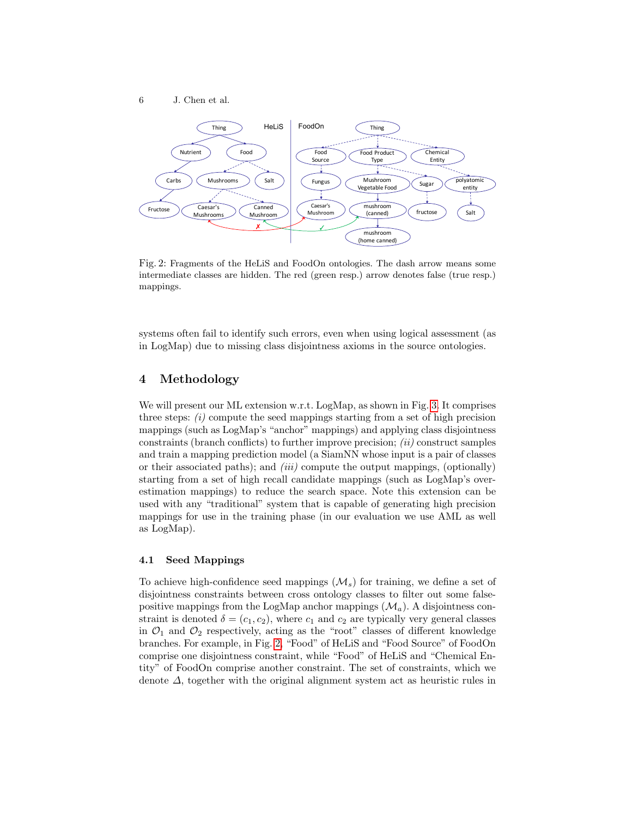<span id="page-5-0"></span>

Fig. 2: Fragments of the HeLiS and FoodOn ontologies. The dash arrow means some intermediate classes are hidden. The red (green resp.) arrow denotes false (true resp.) mappings.

systems often fail to identify such errors, even when using logical assessment (as in LogMap) due to missing class disjointness axioms in the source ontologies.

# 4 Methodology

We will present our ML extension w.r.t. LogMap, as shown in Fig. [3.](#page-6-0) It comprises three steps:  $(i)$  compute the seed mappings starting from a set of high precision mappings (such as LogMap's "anchor" mappings) and applying class disjointness  $\alpha$  constraints (branch conflicts) to further improve precision; *(ii)* construct samples and train a mapping prediction model (a SiamNN whose input is a pair of classes or their associated paths); and *(iii)* compute the output mappings, (optionally) starting from a set of high recall candidate mappings (such as LogMap's overestimation mappings) to reduce the search space. Note this extension can be used with any "traditional" system that is capable of generating high precision mappings for use in the training phase (in our evaluation we use AML as well as LogMap).

### <span id="page-5-1"></span>4.1 Seed Mappings

To achieve high-confidence seed mappings  $(\mathcal{M}_s)$  for training, we define a set of disjointness constraints between cross ontology classes to filter out some falsepositive mappings from the LogMap anchor mappings  $(\mathcal{M}_a)$ . A disjointness constraint is denoted  $\delta = (c_1, c_2)$ , where  $c_1$  and  $c_2$  are typically very general classes in  $\mathcal{O}_1$  and  $\mathcal{O}_2$  respectively, acting as the "root" classes of different knowledge branches. For example, in Fig. [2,](#page-5-0) "Food" of HeLiS and "Food Source" of FoodOn comprise one disjointness constraint, while "Food" of HeLiS and "Chemical Entity" of FoodOn comprise another constraint. The set of constraints, which we denote ∆, together with the original alignment system act as heuristic rules in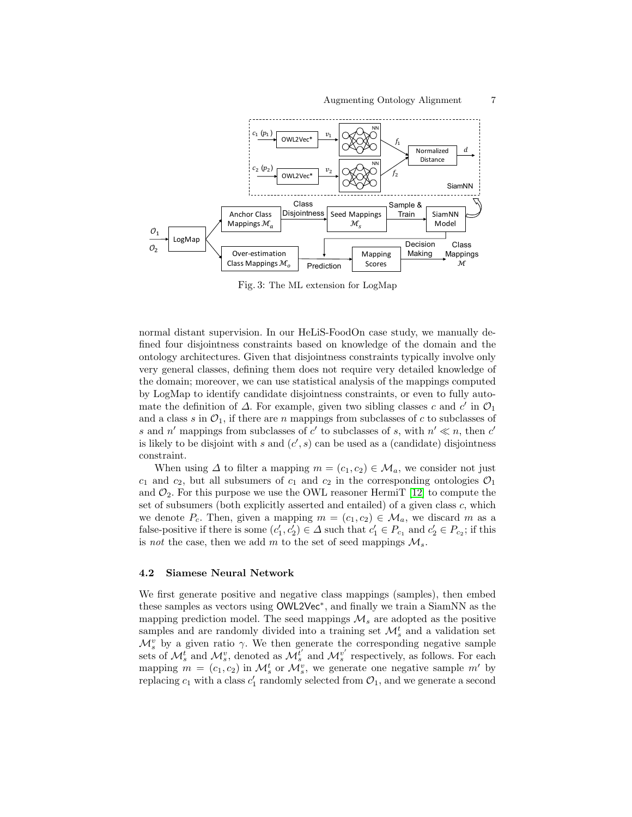<span id="page-6-0"></span>

Fig. 3: The ML extension for LogMap

normal distant supervision. In our HeLiS-FoodOn case study, we manually defined four disjointness constraints based on knowledge of the domain and the ontology architectures. Given that disjointness constraints typically involve only very general classes, defining them does not require very detailed knowledge of the domain; moreover, we can use statistical analysis of the mappings computed by LogMap to identify candidate disjointness constraints, or even to fully automate the definition of  $\Delta$ . For example, given two sibling classes c and c' in  $\mathcal{O}_1$ and a class s in  $\mathcal{O}_1$ , if there are n mappings from subclasses of c to subclasses of s and n' mappings from subclasses of c' to subclasses of s, with  $n' \ll n$ , then c' is likely to be disjoint with s and  $(c', s)$  can be used as a (candidate) disjointness constraint.

When using  $\Delta$  to filter a mapping  $m = (c_1, c_2) \in \mathcal{M}_a$ , we consider not just  $c_1$  and  $c_2$ , but all subsumers of  $c_1$  and  $c_2$  in the corresponding ontologies  $\mathcal{O}_1$ and  $\mathcal{O}_2$ . For this purpose we use the OWL reasoner HermiT [\[12\]](#page-15-20) to compute the set of subsumers (both explicitly asserted and entailed) of a given class c, which we denote  $P_c$ . Then, given a mapping  $m = (c_1, c_2) \in \mathcal{M}_a$ , we discard m as a false-positive if there is some  $(c'_1, c'_2) \in \Delta$  such that  $c'_1 \in P_{c_1}$  and  $c'_2 \in P_{c_2}$ ; if this is not the case, then we add m to the set of seed mappings  $\mathcal{M}_s$ .

#### 4.2 Siamese Neural Network

We first generate positive and negative class mappings (samples), then embed these samples as vectors using OWL2Vec<sup>∗</sup>, and finally we train a SiamNN as the mapping prediction model. The seed mappings  $\mathcal{M}_s$  are adopted as the positive samples and are randomly divided into a training set  $\mathcal{M}_s^t$  and a validation set  $\mathcal{M}_s^v$  by a given ratio  $\gamma$ . We then generate the corresponding negative sample sets of  $\mathcal{M}_s^t$  and  $\mathcal{M}_s^v$ , denoted as  $\mathcal{M}_s^{t'}$  and  $\mathcal{M}_s^{v'}$  respectively, as follows. For each mapping  $m = (c_1, c_2)$  in  $\mathcal{M}_s^t$  or  $\mathcal{M}_s^v$ , we generate one negative sample  $m'$  by replacing  $c_1$  with a class  $c'_1$  randomly selected from  $\mathcal{O}_1$ , and we generate a second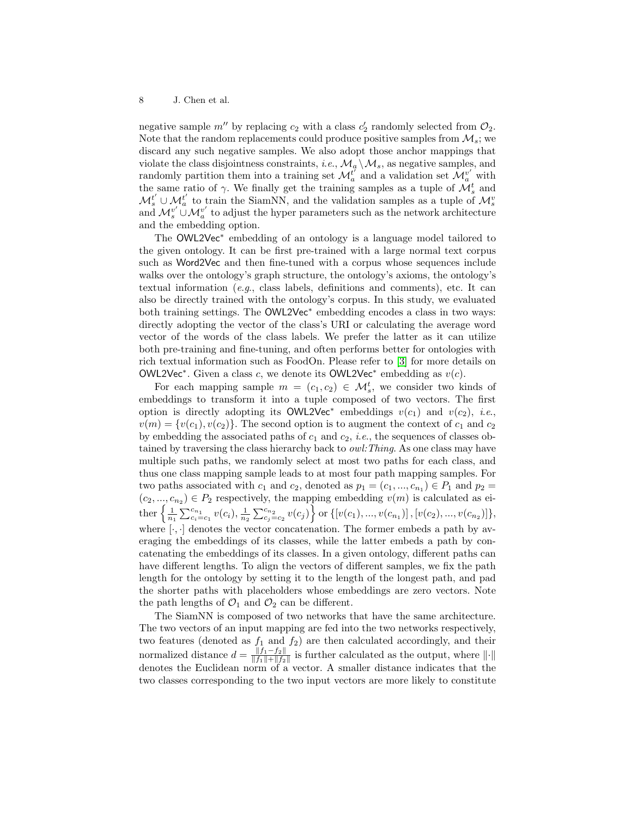negative sample  $m''$  by replacing  $c_2$  with a class  $c'_2$  randomly selected from  $\mathcal{O}_2$ . Note that the random replacements could produce positive samples from  $\mathcal{M}_s$ ; we discard any such negative samples. We also adopt those anchor mappings that violate the class disjointness constraints, *i.e.*,  $\mathcal{M}_a \backslash \mathcal{M}_s$ , as negative samples, and randomly partition them into a training set  $\mathcal{M}_a^{t'}$  and a validation set  $\mathcal{M}_a^{v'}$  with the same ratio of  $\gamma$ . We finally get the training samples as a tuple of  $\mathcal{M}_s^t$  and  $\mathcal{M}_s^{t'} \cup \mathcal{M}_a^{t'}$  to train the SiamNN, and the validation samples as a tuple of  $\mathcal{M}_s^v$ and  $\mathcal{M}_s^{v'}$   $\cup \mathcal{M}_a^{v'}$  to adjust the hyper parameters such as the network architecture and the embedding option.

The OWL2Vec<sup>\*</sup> embedding of an ontology is a language model tailored to the given ontology. It can be first pre-trained with a large normal text corpus such as Word2Vec and then fine-tuned with a corpus whose sequences include walks over the ontology's graph structure, the ontology's axioms, the ontology's textual information (e.g., class labels, definitions and comments), etc. It can also be directly trained with the ontology's corpus. In this study, we evaluated both training settings. The OWL2Vec<sup>\*</sup> embedding encodes a class in two ways: directly adopting the vector of the class's URI or calculating the average word vector of the words of the class labels. We prefer the latter as it can utilize both pre-training and fine-tuning, and often performs better for ontologies with rich textual information such as FoodOn. Please refer to [\[3\]](#page-14-2) for more details on OWL2Vec<sup>\*</sup>. Given a class c, we denote its OWL2Vec<sup>\*</sup> embedding as  $v(c)$ .

For each mapping sample  $m = (c_1, c_2) \in \mathcal{M}_{s}^{t}$ , we consider two kinds of embeddings to transform it into a tuple composed of two vectors. The first option is directly adopting its OWL2Vec<sup>\*</sup> embeddings  $v(c_1)$  and  $v(c_2)$ , *i.e.*,  $v(m) = \{v(c_1), v(c_2)\}\.$  The second option is to augment the context of  $c_1$  and  $c_2$ by embedding the associated paths of  $c_1$  and  $c_2$ , *i.e.*, the sequences of classes obtained by traversing the class hierarchy back to *owl: Thing.* As one class may have multiple such paths, we randomly select at most two paths for each class, and thus one class mapping sample leads to at most four path mapping samples. For two paths associated with  $c_1$  and  $c_2$ , denoted as  $p_1 = (c_1, ..., c_{n_1}) \in P_1$  and  $p_2 =$  $(c_2, ..., c_{n_2}) \in P_2$  respectively, the mapping embedding  $v(m)$  is calculated as either  $\left\{\frac{1}{n_1}\sum_{c_i=c_1}^{c_{n_1}}v(c_i),\frac{1}{n_2}\sum_{c_j=c_2}^{c_{n_2}}v(c_j)\right\}$  or  $\left\{[v(c_1),...,v(c_{n_1})], [v(c_2),...,v(c_{n_2})]\right\}$ , where  $[\cdot, \cdot]$  denotes the vector concatenation. The former embeds a path by averaging the embeddings of its classes, while the latter embeds a path by concatenating the embeddings of its classes. In a given ontology, different paths can have different lengths. To align the vectors of different samples, we fix the path length for the ontology by setting it to the length of the longest path, and pad the shorter paths with placeholders whose embeddings are zero vectors. Note the path lengths of  $\mathcal{O}_1$  and  $\mathcal{O}_2$  can be different.

The SiamNN is composed of two networks that have the same architecture. The two vectors of an input mapping are fed into the two networks respectively, two features (denoted as  $f_1$  and  $f_2$ ) are then calculated accordingly, and their normalized distance  $d = \frac{||f_1 - f_2||}{||f_1|| + ||f_2||}$  $\frac{\|f_1-f_2\|}{\|f_1\|+\|f_2\|}$  is further calculated as the output, where  $\|\cdot\|$ denotes the Euclidean norm of a vector. A smaller distance indicates that the two classes corresponding to the two input vectors are more likely to constitute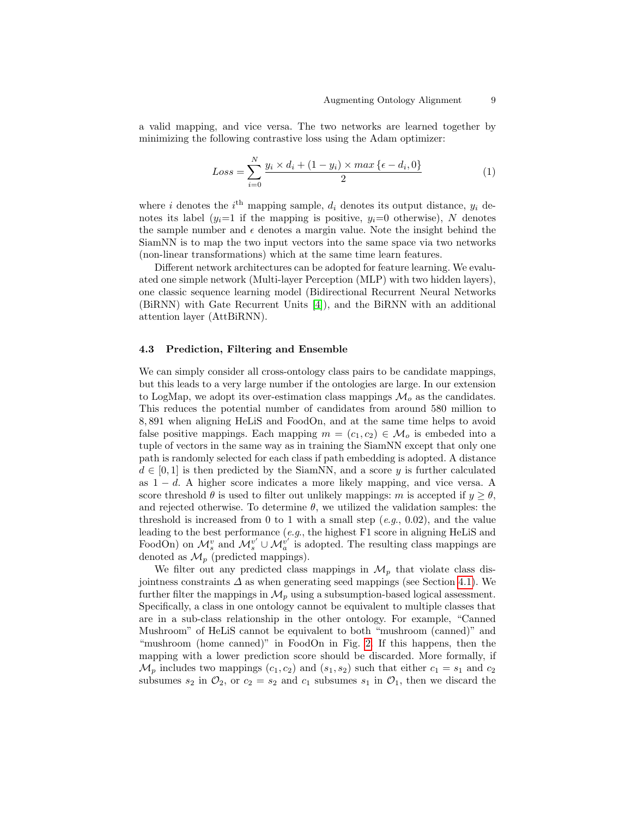a valid mapping, and vice versa. The two networks are learned together by minimizing the following contrastive loss using the Adam optimizer:

$$
Loss = \sum_{i=0}^{N} \frac{y_i \times d_i + (1 - y_i) \times max\left\{ \epsilon - d_i, 0 \right\}}{2}
$$
 (1)

where i denotes the i<sup>th</sup> mapping sample,  $d_i$  denotes its output distance,  $y_i$  denotes its label  $(y_i=1$  if the mapping is positive,  $y_i=0$  otherwise), N denotes the sample number and  $\epsilon$  denotes a margin value. Note the insight behind the SiamNN is to map the two input vectors into the same space via two networks (non-linear transformations) which at the same time learn features.

Different network architectures can be adopted for feature learning. We evaluated one simple network (Multi-layer Perception (MLP) with two hidden layers), one classic sequence learning model (Bidirectional Recurrent Neural Networks (BiRNN) with Gate Recurrent Units [\[4\]](#page-14-8)), and the BiRNN with an additional attention layer (AttBiRNN).

#### 4.3 Prediction, Filtering and Ensemble

We can simply consider all cross-ontology class pairs to be candidate mappings, but this leads to a very large number if the ontologies are large. In our extension to LogMap, we adopt its over-estimation class mappings  $\mathcal{M}_o$  as the candidates. This reduces the potential number of candidates from around 580 million to 8, 891 when aligning HeLiS and FoodOn, and at the same time helps to avoid false positive mappings. Each mapping  $m = (c_1, c_2) \in \mathcal{M}_o$  is embeded into a tuple of vectors in the same way as in training the SiamNN except that only one path is randomly selected for each class if path embedding is adopted. A distance  $d \in [0, 1]$  is then predicted by the SiamNN, and a score y is further calculated as  $1 - d$ . A higher score indicates a more likely mapping, and vice versa. A score threshold  $\theta$  is used to filter out unlikely mappings: m is accepted if  $y > \theta$ , and rejected otherwise. To determine  $\theta$ , we utilized the validation samples: the threshold is increased from 0 to 1 with a small step (e.g., 0.02), and the value leading to the best performance (e.g., the highest F1 score in aligning HeLiS and FoodOn) on  $\mathcal{M}_s^v$  and  $\mathcal{M}_s^{v'} \cup \mathcal{M}_a^{v'}$  is adopted. The resulting class mappings are denoted as  $\mathcal{M}_p$  (predicted mappings).

We filter out any predicted class mappings in  $\mathcal{M}_p$  that violate class disjointness constraints  $\Delta$  as when generating seed mappings (see Section [4.1\)](#page-5-1). We further filter the mappings in  $\mathcal{M}_p$  using a subsumption-based logical assessment. Specifically, a class in one ontology cannot be equivalent to multiple classes that are in a sub-class relationship in the other ontology. For example, "Canned Mushroom" of HeLiS cannot be equivalent to both "mushroom (canned)" and "mushroom (home canned)" in FoodOn in Fig. [2.](#page-5-0) If this happens, then the mapping with a lower prediction score should be discarded. More formally, if  $\mathcal{M}_p$  includes two mappings  $(c_1, c_2)$  and  $(s_1, s_2)$  such that either  $c_1 = s_1$  and  $c_2$ subsumes  $s_2$  in  $\mathcal{O}_2$ , or  $c_2 = s_2$  and  $c_1$  subsumes  $s_1$  in  $\mathcal{O}_1$ , then we discard the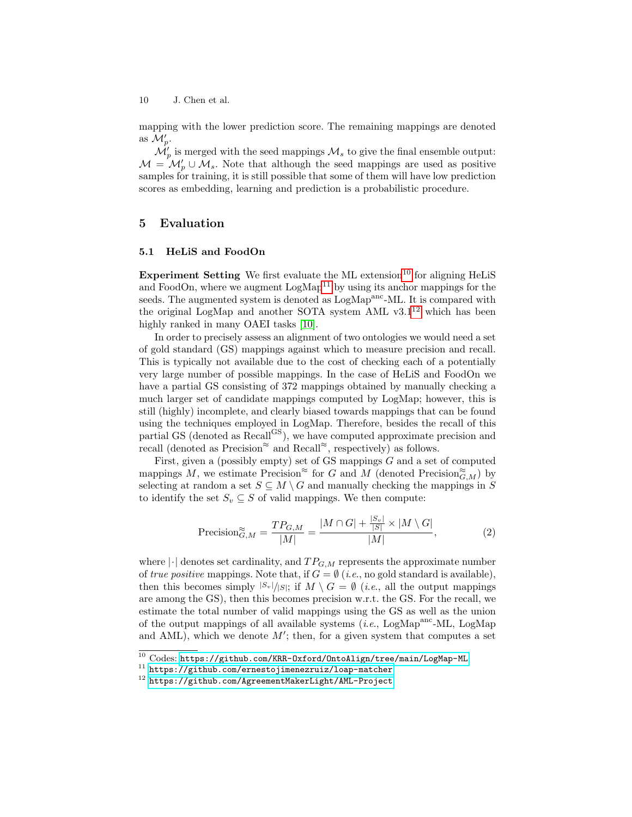mapping with the lower prediction score. The remaining mappings are denoted as  $\mathcal{M}'_p$ .

 $\mathcal{M}'_p$  is merged with the seed mappings  $\mathcal{M}_s$  to give the final ensemble output:  $\mathcal{M} = \mathcal{M}'_p \cup \mathcal{M}_s$ . Note that although the seed mappings are used as positive samples for training, it is still possible that some of them will have low prediction scores as embedding, learning and prediction is a probabilistic procedure.

# 5 Evaluation

### <span id="page-9-3"></span>5.1 HeLiS and FoodOn

Experiment Setting We first evaluate the ML extension<sup>[10](#page-9-0)</sup> for aligning HeLiS and FoodOn, where we augment  $LogMap<sup>11</sup>$  $LogMap<sup>11</sup>$  $LogMap<sup>11</sup>$  by using its anchor mappings for the seeds. The augmented system is denoted as LogMap<sup>anc</sup>-ML. It is compared with the original LogMap and another SOTA system AML v3.1<sup>[12](#page-9-2)</sup> which has been highly ranked in many OAEI tasks [\[10\]](#page-14-9).

In order to precisely assess an alignment of two ontologies we would need a set of gold standard (GS) mappings against which to measure precision and recall. This is typically not available due to the cost of checking each of a potentially very large number of possible mappings. In the case of HeLiS and FoodOn we have a partial GS consisting of 372 mappings obtained by manually checking a much larger set of candidate mappings computed by LogMap; however, this is still (highly) incomplete, and clearly biased towards mappings that can be found using the techniques employed in LogMap. Therefore, besides the recall of this partial GS (denoted as Recall<sup>GS</sup>), we have computed approximate precision and recall (denoted as Precision<sup> $\approx$ </sup> and Recall<sup> $\approx$ </sup>, respectively) as follows.

First, given a (possibly empty) set of GS mappings  $G$  and a set of computed mappings M, we estimate Precision<sup>≈</sup> for G and M (denoted Precision $\tilde{G}_{M}$ ) by selecting at random a set  $S \subseteq M \setminus G$  and manually checking the mappings in S to identify the set  $S_v \subseteq S$  of valid mappings. We then compute:

$$
\text{Precision}_{G,M}^{\approx} = \frac{TP_{G,M}}{|M|} = \frac{|M \cap G| + \frac{|S_v|}{|S|} \times |M \setminus G|}{|M|},\tag{2}
$$

 $\sim$ 

where  $\lvert \cdot \rvert$  denotes set cardinality, and  $TP_{G,M}$  represents the approximate number of true positive mappings. Note that, if  $G = \emptyset$  (*i.e.*, no gold standard is available), then this becomes simply  $|S_v|/|S|$ ; if  $M \setminus G = \emptyset$  (*i.e.*, all the output mappings are among the GS), then this becomes precision w.r.t. the GS. For the recall, we estimate the total number of valid mappings using the GS as well as the union of the output mappings of all available systems (*i.e.*,  $LogMap<sup>anc</sup>-ML$ ,  $LogMap$ and AML), which we denote  $M'$ ; then, for a given system that computes a set

<span id="page-9-0"></span> $^{10}$  Codes: <https://github.com/KRR-Oxford/OntoAlign/tree/main/LogMap-ML>

<span id="page-9-1"></span><sup>11</sup> <https://github.com/ernestojimenezruiz/loap-matcher>

<span id="page-9-2"></span><sup>12</sup> <https://github.com/AgreementMakerLight/AML-Project>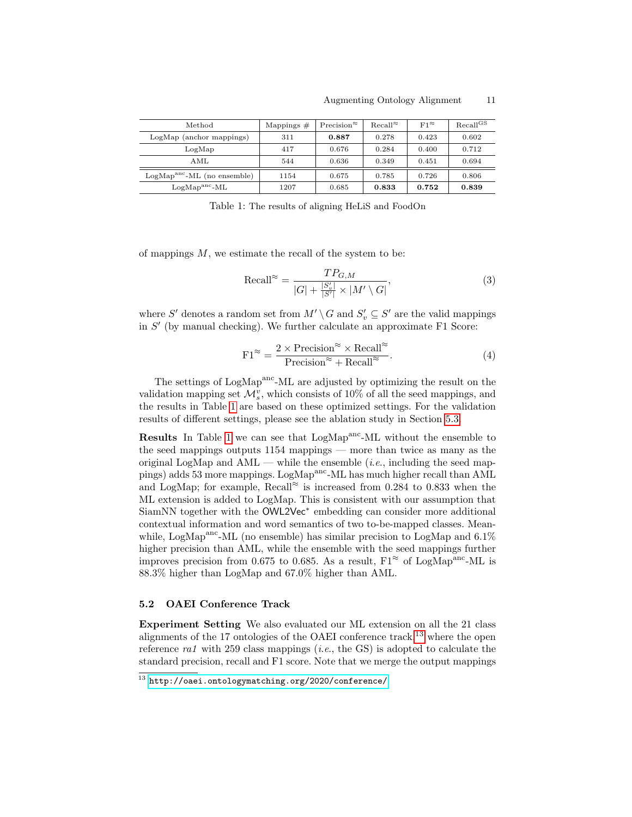<span id="page-10-0"></span>

| Method                         | Mappings $#$ | $Precision^{\approx}$ | $Recall^{\approx}$ | $F1^{\approx}$ | Recall <sup>GS</sup> |
|--------------------------------|--------------|-----------------------|--------------------|----------------|----------------------|
| $LogMap$ (anchor mappings)     | 311          | 0.887                 | 0.278              | 0.423          | 0.602                |
| LogMap                         | 417          | 0.676                 | 0.284              | 0.400          | 0.712                |
| AML                            | 544          | 0.636                 | 0.349              | 0.451          | 0.694                |
| $LogMapanc - ML$ (no ensemble) | 1154         | 0.675                 | 0.785              | 0.726          | 0.806                |
| $LogMapanc - ML$               | 1207         | 0.685                 | 0.833              | 0.752          | 0.839                |

Table 1: The results of aligning HeLiS and FoodOn

of mappings  $M$ , we estimate the recall of the system to be:

$$
\text{Recall}^{\approx} = \frac{TP_{G,M}}{|G| + \frac{|S'_v|}{|S'|} \times |M' \setminus G|},\tag{3}
$$

where S' denotes a random set from  $M' \setminus G$  and  $S'_v \subseteq S'$  are the valid mappings in  $S'$  (by manual checking). We further calculate an approximate  $F1$  Score:

$$
\mathrm{F1}^{\approx} = \frac{2 \times \mathrm{Precision}^{\approx} \times \mathrm{Recall}^{\approx}}{\mathrm{Precision}^{\approx} + \mathrm{Recall}^{\approx}}.
$$
 (4)

The settings of LogMap<sup>anc</sup>-ML are adjusted by optimizing the result on the validation mapping set  $\mathcal{M}_{s}^{v}$ , which consists of 10% of all the seed mappings, and the results in Table [1](#page-10-0) are based on these optimized settings. For the validation results of different settings, please see the ablation study in Section [5.3.](#page-12-0)

Results In Table [1](#page-10-0) we can see that  $LogMap<sup>anc</sup>-ML$  without the ensemble to the seed mappings outputs 1154 mappings — more than twice as many as the original LogMap and  $AML$  — while the ensemble *(i.e., including the seed map*pings) adds 53 more mappings. LogMapanc-ML has much higher recall than AML and LogMap; for example, Recall<sup>≈</sup> is increased from 0.284 to 0.833 when the ML extension is added to LogMap. This is consistent with our assumption that SiamNN together with the OWL2Vec<sup>\*</sup> embedding can consider more additional contextual information and word semantics of two to-be-mapped classes. Meanwhile, LogMap<sup>anc</sup>-ML (no ensemble) has similar precision to LogMap and  $6.1\%$ higher precision than AML, while the ensemble with the seed mappings further improves precision from 0.675 to 0.685. As a result,  $F1^{\approx}$  of LogMap<sup>anc</sup>-ML is 88.3% higher than LogMap and 67.0% higher than AML.

#### 5.2 OAEI Conference Track

Experiment Setting We also evaluated our ML extension on all the 21 class alignments of the 17 ontologies of the OAEI conference track,  $^{13}$  $^{13}$  $^{13}$  where the open reference ra1 with 259 class mappings (*i.e.*, the GS) is adopted to calculate the standard precision, recall and F1 score. Note that we merge the output mappings

<span id="page-10-1"></span> $\frac{13}{13}$  <http://oaei.ontologymatching.org/2020/conference/>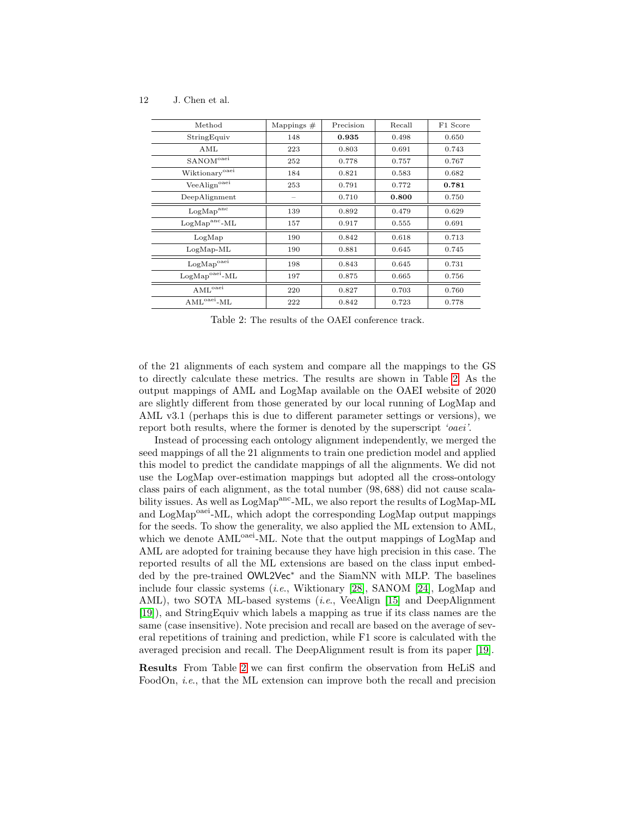<span id="page-11-0"></span>

| Method                                                                    | Mappings $#$ | Precision | Recall | F1 Score |
|---------------------------------------------------------------------------|--------------|-----------|--------|----------|
| StringEquiv                                                               | 148          | 0.935     | 0.498  | 0.650    |
| AML                                                                       | 223          | 0.803     | 0.691  | 0.743    |
| SANOM <sup>oaei</sup>                                                     | 252          | 0.778     | 0.757  | 0.767    |
| Wiktionary <sup>oaei</sup>                                                | 184          | 0.821     | 0.583  | 0.682    |
| VeeAlign <sup>oaei</sup>                                                  | 253          | 0.791     | 0.772  | 0.781    |
| DeepAlignment                                                             |              | 0.710     | 0.800  | 0.750    |
| LogMap <sup>anc</sup>                                                     | 139          | 0.892     | 0.479  | 0.629    |
| $LogMapanc - ML$                                                          | 157          | 0.917     | 0.555  | 0.691    |
| LogMap                                                                    | 190          | 0.842     | 0.618  | 0.713    |
| $LogMap-ML$                                                               | 190          | 0.881     | 0.645  | 0.745    |
| LogMap <sup>oaei</sup>                                                    | 198          | 0.843     | 0.645  | 0.731    |
| $\mbox{LogMap}^{\mbox{\scriptsize{oaei}}} \mbox{-}\mbox{\scriptsize{ML}}$ | 197          | 0.875     | 0.665  | 0.756    |
| $\mathrm{AML}^\mathrm{oaei}$                                              | 220          | 0.827     | 0.703  | 0.760    |
| $\mathrm{AML}^\mathrm{oaei}\text{-}\mathrm{ML}$                           | 222          | 0.842     | 0.723  | 0.778    |

Table 2: The results of the OAEI conference track.

of the 21 alignments of each system and compare all the mappings to the GS to directly calculate these metrics. The results are shown in Table [2.](#page-11-0) As the output mappings of AML and LogMap available on the OAEI website of 2020 are slightly different from those generated by our local running of LogMap and AML v3.1 (perhaps this is due to different parameter settings or versions), we report both results, where the former is denoted by the superscript 'oaei'.

Instead of processing each ontology alignment independently, we merged the seed mappings of all the 21 alignments to train one prediction model and applied this model to predict the candidate mappings of all the alignments. We did not use the LogMap over-estimation mappings but adopted all the cross-ontology class pairs of each alignment, as the total number (98, 688) did not cause scalability issues. As well as  $LogMap<sup>anc</sup>-ML$ , we also report the results of  $LogMap-ML$ and LogMap<sup>oaei</sup>-ML, which adopt the corresponding LogMap output mappings for the seeds. To show the generality, we also applied the ML extension to AML, which we denote AML<sup>oaei</sup>-ML. Note that the output mappings of LogMap and AML are adopted for training because they have high precision in this case. The reported results of all the ML extensions are based on the class input embedded by the pre-trained OWL2Vec<sup>∗</sup> and the SiamNN with MLP. The baselines include four classic systems (i.e., Wiktionary [\[28\]](#page-15-21), SANOM [\[24\]](#page-15-22), LogMap and AML), two SOTA ML-based systems (i.e., VeeAlign [\[15\]](#page-15-14) and DeepAlignment [\[19\]](#page-15-17)), and StringEquiv which labels a mapping as true if its class names are the same (case insensitive). Note precision and recall are based on the average of several repetitions of training and prediction, while F1 score is calculated with the averaged precision and recall. The DeepAlignment result is from its paper [\[19\]](#page-15-17).

Results From Table [2](#page-11-0) we can first confirm the observation from HeLiS and FoodOn, i.e., that the ML extension can improve both the recall and precision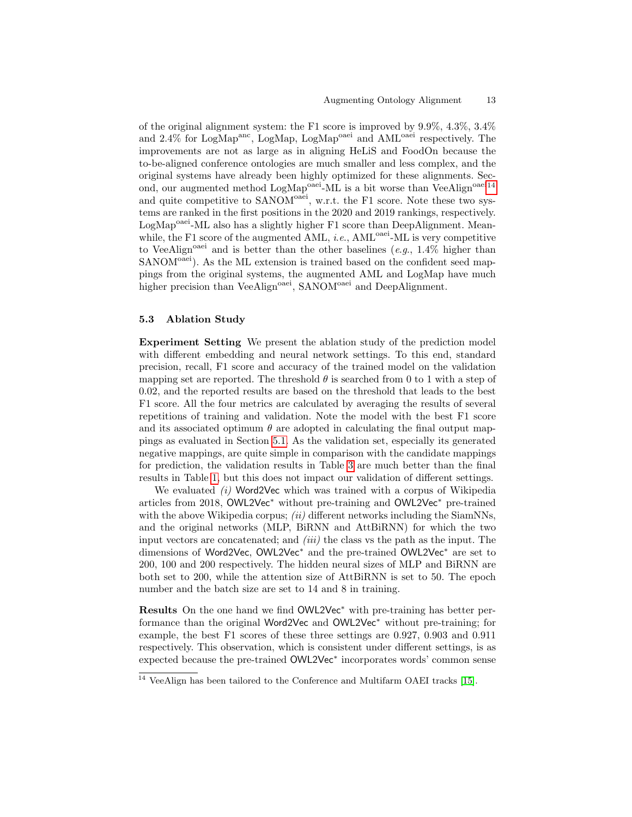of the original alignment system: the F1 score is improved by 9.9%, 4.3%, 3.4% and 2.4% for LogMap<sup>anc</sup>, LogMap, LogMap<sup>oaei</sup> and AML<sup>oaei</sup> respectively. The improvements are not as large as in aligning HeLiS and FoodOn because the to-be-aligned conference ontologies are much smaller and less complex, and the original systems have already been highly optimized for these alignments. Second, our augmented method LogMap<sup>oaei</sup>-ML is a bit worse than VeeAlign<sup>oae[i14](#page-12-1)</sup> and quite competitive to  $SANOM<sup>oaei</sup>$ , w.r.t. the F1 score. Note these two systems are ranked in the first positions in the 2020 and 2019 rankings, respectively. LogMap<sup>oaei</sup>-ML also has a slightly higher F1 score than DeepAlignment. Meanwhile, the F1 score of the augmented AML, *i.e.*, AML<sup>oaei</sup>-ML is very competitive to VeeAlign<sup>oaei</sup> and is better than the other baselines (e.g.,  $1.4\%$  higher than SANOM<sup>oaei</sup>). As the ML extension is trained based on the confident seed mappings from the original systems, the augmented AML and LogMap have much higher precision than VeeAlign<sup>oaei</sup>, SANOM<sup>oaei</sup> and DeepAlignment.

### <span id="page-12-0"></span>5.3 Ablation Study

Experiment Setting We present the ablation study of the prediction model with different embedding and neural network settings. To this end, standard precision, recall, F1 score and accuracy of the trained model on the validation mapping set are reported. The threshold  $\theta$  is searched from 0 to 1 with a step of 0.02, and the reported results are based on the threshold that leads to the best F1 score. All the four metrics are calculated by averaging the results of several repetitions of training and validation. Note the model with the best F1 score and its associated optimum  $\theta$  are adopted in calculating the final output mappings as evaluated in Section [5.1.](#page-9-3) As the validation set, especially its generated negative mappings, are quite simple in comparison with the candidate mappings for prediction, the validation results in Table [3](#page-13-0) are much better than the final results in Table [1,](#page-10-0) but this does not impact our validation of different settings.

We evaluated  $(i)$  Word2Vec which was trained with a corpus of Wikipedia articles from 2018, OWL2Vec<sup>∗</sup> without pre-training and OWL2Vec<sup>∗</sup> pre-trained with the above Wikipedia corpus;  $(ii)$  different networks including the SiamNNs, and the original networks (MLP, BiRNN and AttBiRNN) for which the two input vectors are concatenated; and  $(iii)$  the class vs the path as the input. The dimensions of Word2Vec, OWL2Vec<sup>∗</sup> and the pre-trained OWL2Vec<sup>∗</sup> are set to 200, 100 and 200 respectively. The hidden neural sizes of MLP and BiRNN are both set to 200, while the attention size of AttBiRNN is set to 50. The epoch number and the batch size are set to 14 and 8 in training.

Results On the one hand we find OWL2Vec<sup>∗</sup> with pre-training has better performance than the original Word2Vec and OWL2Vec<sup>∗</sup> without pre-training; for example, the best F1 scores of these three settings are 0.927, 0.903 and 0.911 respectively. This observation, which is consistent under different settings, is as expected because the pre-trained OWL2Vec<sup>\*</sup> incorporates words' common sense

<span id="page-12-1"></span> $14$  VeeAlign has been tailored to the Conference and Multifarm OAEI tracks [\[15\]](#page-15-14).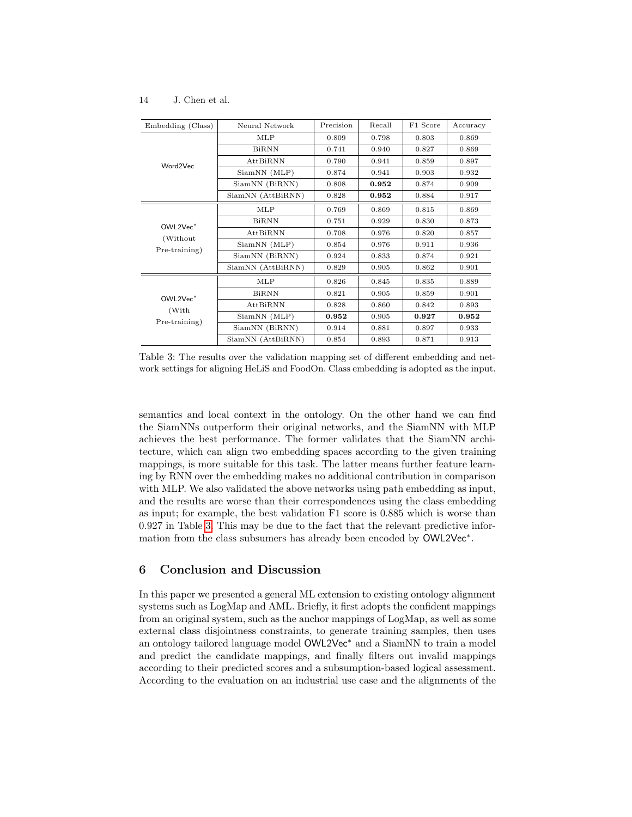<span id="page-13-0"></span>

| Embedding (Class)                     | Neural Network    | Precision | Recall | F1 Score | Accuracy |
|---------------------------------------|-------------------|-----------|--------|----------|----------|
| Word2Vec                              | MLP               | 0.809     | 0.798  | 0.803    | 0.869    |
|                                       | <b>BiRNN</b>      | 0.741     | 0.940  | 0.827    | 0.869    |
|                                       | AttBiRNN          | 0.790     | 0.941  | 0.859    | 0.897    |
|                                       | SiamNN (MLP)      | 0.874     | 0.941  | 0.903    | 0.932    |
|                                       | SiamNN (BiRNN)    | 0.808     | 0.952  | 0.874    | 0.909    |
|                                       | SiamNN (AttBiRNN) | 0.828     | 0.952  | 0.884    | 0.917    |
| OWL2Vec*<br>(Without<br>Pre-training) | MLP               | 0.769     | 0.869  | 0.815    | 0.869    |
|                                       | <b>BiRNN</b>      | 0.751     | 0.929  | 0.830    | 0.873    |
|                                       | AttBiRNN          | 0.708     | 0.976  | 0.820    | 0.857    |
|                                       | SiamNN (MLP)      | 0.854     | 0.976  | 0.911    | 0.936    |
|                                       | SiamNN (BiRNN)    | 0.924     | 0.833  | 0.874    | 0.921    |
|                                       | SiamNN (AttBiRNN) | 0.829     | 0.905  | 0.862    | 0.901    |
| OWL2Vec*<br>(With<br>Pre-training)    | MLP               | 0.826     | 0.845  | 0.835    | 0.889    |
|                                       | <b>BiRNN</b>      | 0.821     | 0.905  | 0.859    | 0.901    |
|                                       | AttBiRNN          | 0.828     | 0.860  | 0.842    | 0.893    |
|                                       | SiamNN (MLP)      | 0.952     | 0.905  | 0.927    | 0.952    |
|                                       | SiamNN (BiRNN)    | 0.914     | 0.881  | 0.897    | 0.933    |
|                                       | SiamNN (AttBiRNN) | 0.854     | 0.893  | 0.871    | 0.913    |

Table 3: The results over the validation mapping set of different embedding and network settings for aligning HeLiS and FoodOn. Class embedding is adopted as the input.

semantics and local context in the ontology. On the other hand we can find the SiamNNs outperform their original networks, and the SiamNN with MLP achieves the best performance. The former validates that the SiamNN architecture, which can align two embedding spaces according to the given training mappings, is more suitable for this task. The latter means further feature learning by RNN over the embedding makes no additional contribution in comparison with MLP. We also validated the above networks using path embedding as input, and the results are worse than their correspondences using the class embedding as input; for example, the best validation F1 score is 0.885 which is worse than 0.927 in Table [3.](#page-13-0) This may be due to the fact that the relevant predictive information from the class subsumers has already been encoded by OWL2Vec<sup>\*</sup>.

# 6 Conclusion and Discussion

In this paper we presented a general ML extension to existing ontology alignment systems such as LogMap and AML. Briefly, it first adopts the confident mappings from an original system, such as the anchor mappings of LogMap, as well as some external class disjointness constraints, to generate training samples, then uses an ontology tailored language model OWL2Vec<sup>∗</sup> and a SiamNN to train a model and predict the candidate mappings, and finally filters out invalid mappings according to their predicted scores and a subsumption-based logical assessment. According to the evaluation on an industrial use case and the alignments of the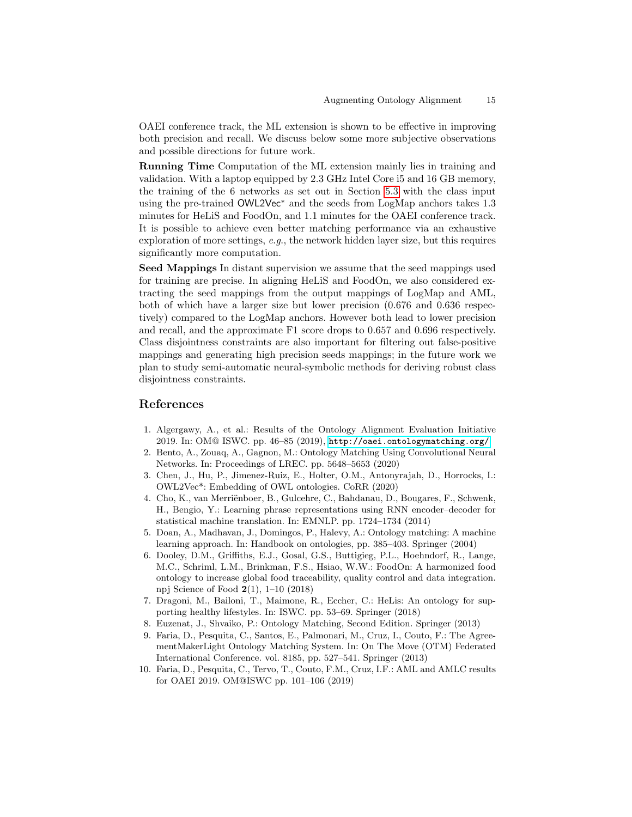OAEI conference track, the ML extension is shown to be effective in improving both precision and recall. We discuss below some more subjective observations and possible directions for future work.

Running Time Computation of the ML extension mainly lies in training and validation. With a laptop equipped by 2.3 GHz Intel Core i5 and 16 GB memory, the training of the 6 networks as set out in Section [5.3](#page-12-0) with the class input using the pre-trained OWL2Vec<sup>∗</sup> and the seeds from LogMap anchors takes 1.3 minutes for HeLiS and FoodOn, and 1.1 minutes for the OAEI conference track. It is possible to achieve even better matching performance via an exhaustive exploration of more settings, e.g., the network hidden layer size, but this requires significantly more computation.

Seed Mappings In distant supervision we assume that the seed mappings used for training are precise. In aligning HeLiS and FoodOn, we also considered extracting the seed mappings from the output mappings of LogMap and AML, both of which have a larger size but lower precision (0.676 and 0.636 respectively) compared to the LogMap anchors. However both lead to lower precision and recall, and the approximate F1 score drops to 0.657 and 0.696 respectively. Class disjointness constraints are also important for filtering out false-positive mappings and generating high precision seeds mappings; in the future work we plan to study semi-automatic neural-symbolic methods for deriving robust class disjointness constraints.

### References

- <span id="page-14-5"></span>1. Algergawy, A., et al.: Results of the Ontology Alignment Evaluation Initiative 2019. In: OM@ ISWC. pp. 46–85 (2019), <http://oaei.ontologymatching.org/>
- <span id="page-14-7"></span>2. Bento, A., Zouaq, A., Gagnon, M.: Ontology Matching Using Convolutional Neural Networks. In: Proceedings of LREC. pp. 5648–5653 (2020)
- <span id="page-14-2"></span>3. Chen, J., Hu, P., Jimenez-Ruiz, E., Holter, O.M., Antonyrajah, D., Horrocks, I.: OWL2Vec\*: Embedding of OWL ontologies. CoRR (2020)
- <span id="page-14-8"></span>4. Cho, K., van Merriënboer, B., Gulcehre, C., Bahdanau, D., Bougares, F., Schwenk, H., Bengio, Y.: Learning phrase representations using RNN encoder–decoder for statistical machine translation. In: EMNLP. pp. 1724–1734 (2014)
- <span id="page-14-6"></span>5. Doan, A., Madhavan, J., Domingos, P., Halevy, A.: Ontology matching: A machine learning approach. In: Handbook on ontologies, pp. 385–403. Springer (2004)
- <span id="page-14-4"></span>6. Dooley, D.M., Griffiths, E.J., Gosal, G.S., Buttigieg, P.L., Hoehndorf, R., Lange, M.C., Schriml, L.M., Brinkman, F.S., Hsiao, W.W.: FoodOn: A harmonized food ontology to increase global food traceability, quality control and data integration. npj Science of Food 2(1), 1–10 (2018)
- <span id="page-14-3"></span>7. Dragoni, M., Bailoni, T., Maimone, R., Eccher, C.: HeLis: An ontology for supporting healthy lifestyles. In: ISWC. pp. 53–69. Springer (2018)
- <span id="page-14-0"></span>8. Euzenat, J., Shvaiko, P.: Ontology Matching, Second Edition. Springer (2013)
- <span id="page-14-1"></span>9. Faria, D., Pesquita, C., Santos, E., Palmonari, M., Cruz, I., Couto, F.: The AgreementMakerLight Ontology Matching System. In: On The Move (OTM) Federated International Conference. vol. 8185, pp. 527–541. Springer (2013)
- <span id="page-14-9"></span>10. Faria, D., Pesquita, C., Tervo, T., Couto, F.M., Cruz, I.F.: AML and AMLC results for OAEI 2019. OM@ISWC pp. 101–106 (2019)